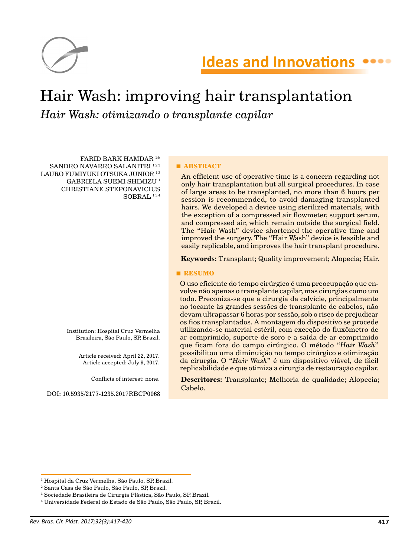

# Hair Wash: improving hair transplantation *Hair Wash: otimizando o transplante capilar*

FARID BARK HAMDAR 1 \* SANDRO NAVARRO SALANITRI 1,2,3 LAURO FUMIYUKI OTSUKA JUNIOR<sup>1,3</sup> GABRIELA SUEMI SHIMIZU 1 CHRISTIANE STEPONAVICIUS SOBRAL  $1,3,4$ 

> Institution: Hospital Cruz Vermelha Brasileira, São Paulo, SP, Brazil.

> > Article received: April 22, 2017. Article accepted: July 9, 2017.

> > > Conflicts of interest: none.

DOI: 10.5935/2177-1235.2017RBCP0068

#### **■ ABSTRACT**

An efficient use of operative time is a concern regarding not only hair transplantation but all surgical procedures. In case of large areas to be transplanted, no more than 6 hours per session is recommended, to avoid damaging transplanted hairs. We developed a device using sterilized materials, with the exception of a compressed air flowmeter, support serum, and compressed air, which remain outside the surgical field. The "Hair Wash" device shortened the operative time and improved the surgery. The "Hair Wash" device is feasible and easily replicable, and improves the hair transplant procedure.

**Keywords:** Transplant; Quality improvement; Alopecia; Hair.

#### **■ RESUMO**

O uso eficiente do tempo cirúrgico é uma preocupação que envolve não apenas o transplante capilar, mas cirurgias como um todo. Preconiza-se que a cirurgia da calvície, principalmente no tocante às grandes sessões de transplante de cabelos, não devam ultrapassar 6 horas por sessão, sob o risco de prejudicar os fios transplantados. A montagem do dispositivo se procede utilizando-se material estéril, com exceção do fluxômetro de ar comprimido, suporte de soro e a saída de ar comprimido que ficam fora do campo cirúrgico. O método "*Hair Wash*" possibilitou uma diminuição no tempo cirúrgico e otimização da cirurgia. O "*Hair Wash*" é um dispositivo viável, de fácil replicabilidade e que otimiza a cirurgia de restauração capilar.

**Descritores:** Transplante; Melhoria de qualidade; Alopecia; Cabelo.

<sup>1</sup> Hospital da Cruz Vermelha, São Paulo, SP, Brazil.

<sup>2</sup> Santa Casa de São Paulo, São Paulo, SP, Brazil.

<sup>3</sup> Sociedade Brasileira de Cirurgia Plástica, São Paulo, SP, Brazil.

<sup>4</sup> Universidade Federal do Estado de São Paulo, São Paulo, SP, Brazil.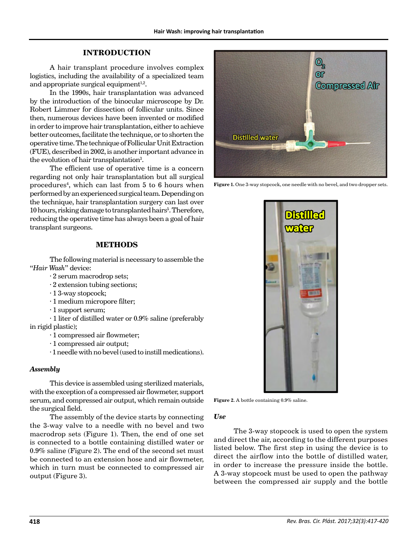## **INTRODUCTION**

A hair transplant procedure involves complex logistics, including the availability of a specialized team and appropriate surgical equipment $1,2$ .

In the 1990s, hair transplantation was advanced by the introduction of the binocular microscope by Dr. Robert Limmer for dissection of follicular units. Since then, numerous devices have been invented or modified in order to improve hair transplantation, either to achieve better outcomes, facilitate the technique, or to shorten the operative time. The technique of Follicular Unit Extraction (FUE), described in 2002, is another important advance in the evolution of hair transplantation<sup>3</sup>.

The efficient use of operative time is a concern regarding not only hair transplantation but all surgical procedures4 , which can last from 5 to 6 hours when performed by an experienced surgical team. Depending on the technique, hair transplantation surgery can last over 10 hours, risking damage to transplanted hairs<sup>5</sup>. Therefore, reducing the operative time has always been a goal of hair transplant surgeons.

# **METHODS**

The following material is necessary to assemble the "*Hair Wash*" device:

· 2 serum macrodrop sets;

- · 2 extension tubing sections;
- · 1 3-way stopcock;
- · 1 medium micropore filter;
- · 1 support serum;

· 1 liter of distilled water or 0.9% saline (preferably in rigid plastic);

- · 1 compressed air flowmeter;
- · 1 compressed air output;
- · 1 needle with no bevel (used to instill medications).

### *Assembly*

This device is assembled using sterilized materials, with the exception of a compressed air flowmeter, support serum, and compressed air output, which remain outside the surgical field.

The assembly of the device starts by connecting the 3-way valve to a needle with no bevel and two macrodrop sets (Figure 1). Then, the end of one set is connected to a bottle containing distilled water or 0.9% saline (Figure 2). The end of the second set must be connected to an extension hose and air flowmeter, which in turn must be connected to compressed air output (Figure 3).



Figure 1. One 3-way stopcock, one needle with no bevel, and two dropper sets.



Figure 2. A bottle containing 0.9% saline.

#### *Use*

The 3-way stopcock is used to open the system and direct the air, according to the different purposes listed below. The first step in using the device is to direct the airflow into the bottle of distilled water, in order to increase the pressure inside the bottle. A 3-way stopcock must be used to open the pathway between the compressed air supply and the bottle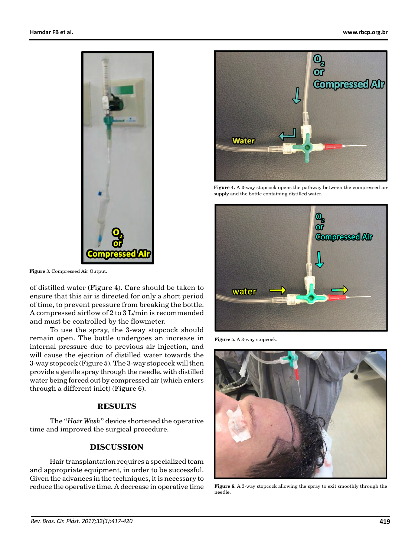

**Figure 3.** Compressed Air Output.

of distilled water (Figure 4). Care should be taken to ensure that this air is directed for only a short period of time, to prevent pressure from breaking the bottle. A compressed airflow of 2 to 3 L/min is recommended and must be controlled by the flowmeter.

To use the spray, the 3-way stopcock should remain open. The bottle undergoes an increase in internal pressure due to previous air injection, and will cause the ejection of distilled water towards the 3-way stopcock (Figure 5). The 3-way stopcock will then provide a gentle spray through the needle, with distilled water being forced out by compressed air (which enters through a different inlet) (Figure 6).

#### **RESULTS**

The "*Hair Wash*" device shortened the operative time and improved the surgical procedure.

# **DISCUSSION**

Hair transplantation requires a specialized team and appropriate equipment, in order to be successful. Given the advances in the techniques, it is necessary to reduce the operative time. A decrease in operative time



**Figure 4.** A 3-way stopcock opens the pathway between the compressed air supply and the bottle containing distilled water.



**Figure 5.** A 3-way stopcock.



**Figure 6.** A 3-way stopcock allowing the spray to exit smoothly through the needle.